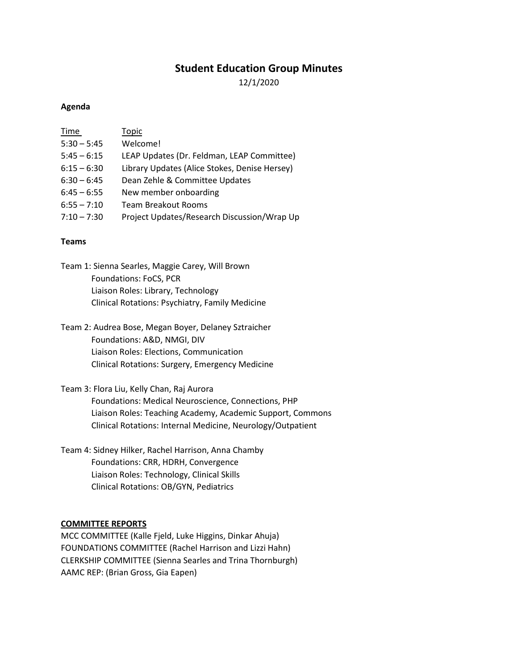# **Student Education Group Minutes**

12/1/2020

#### **Agenda**

| Time          | Topic                                         |
|---------------|-----------------------------------------------|
| $5:30 - 5:45$ | Welcome!                                      |
| $5:45 - 6:15$ | LEAP Updates (Dr. Feldman, LEAP Committee)    |
| $6:15 - 6:30$ | Library Updates (Alice Stokes, Denise Hersey) |
| $6:30 - 6:45$ | Dean Zehle & Committee Updates                |
| $6:45 - 6:55$ | New member onboarding                         |
| $6:55 - 7:10$ | Team Breakout Rooms                           |
| $7:10 - 7:30$ | Project Updates/Research Discussion/Wrap Up   |

# **Teams**

Team 1: Sienna Searles, Maggie Carey, Will Brown Foundations: FoCS, PCR Liaison Roles: Library, Technology Clinical Rotations: Psychiatry, Family Medicine

Team 2: Audrea Bose, Megan Boyer, Delaney Sztraicher Foundations: A&D, NMGI, DIV Liaison Roles: Elections, Communication Clinical Rotations: Surgery, Emergency Medicine

Team 3: Flora Liu, Kelly Chan, Raj Aurora Foundations: Medical Neuroscience, Connections, PHP Liaison Roles: Teaching Academy, Academic Support, Commons Clinical Rotations: Internal Medicine, Neurology/Outpatient

Team 4: Sidney Hilker, Rachel Harrison, Anna Chamby Foundations: CRR, HDRH, Convergence Liaison Roles: Technology, Clinical Skills Clinical Rotations: OB/GYN, Pediatrics

#### **COMMITTEE REPORTS**

MCC COMMITTEE (Kalle Fjeld, Luke Higgins, Dinkar Ahuja) FOUNDATIONS COMMITTEE (Rachel Harrison and Lizzi Hahn) CLERKSHIP COMMITTEE (Sienna Searles and Trina Thornburgh) AAMC REP: (Brian Gross, Gia Eapen)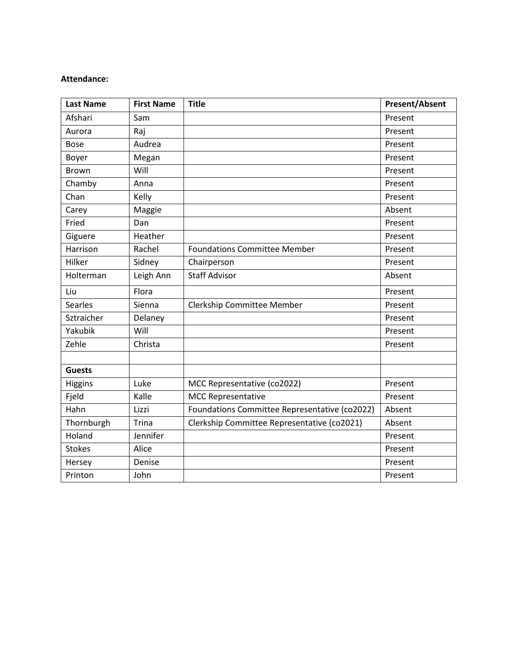### **Attendance:**

| <b>Last Name</b> | <b>First Name</b> | <b>Title</b>                                  | <b>Present/Absent</b> |
|------------------|-------------------|-----------------------------------------------|-----------------------|
| Afshari          | Sam               |                                               | Present               |
| Aurora           | Raj               |                                               | Present               |
| <b>Bose</b>      | Audrea            |                                               | Present               |
| Boyer            | Megan             |                                               | Present               |
| <b>Brown</b>     | Will              |                                               | Present               |
| Chamby           | Anna              |                                               | Present               |
| Chan             | Kelly             |                                               | Present               |
| Carey            | Maggie            |                                               | Absent                |
| Fried            | Dan               |                                               | Present               |
| Giguere          | Heather           |                                               | Present               |
| Harrison         | Rachel            | <b>Foundations Committee Member</b>           | Present               |
| Hilker           | Sidney            | Chairperson                                   | Present               |
| Holterman        | Leigh Ann         | <b>Staff Advisor</b>                          | Absent                |
| Liu              | Flora             |                                               | Present               |
| Searles          | Sienna            | Clerkship Committee Member                    | Present               |
| Sztraicher       | Delaney           |                                               | Present               |
| Yakubik          | Will              |                                               | Present               |
| Zehle            | Christa           |                                               | Present               |
|                  |                   |                                               |                       |
| <b>Guests</b>    |                   |                                               |                       |
| Higgins          | Luke              | MCC Representative (co2022)                   | Present               |
| Fjeld            | Kalle             | <b>MCC Representative</b>                     | Present               |
| Hahn             | Lizzi             | Foundations Committee Representative (co2022) | Absent                |
| Thornburgh       | <b>Trina</b>      | Clerkship Committee Representative (co2021)   | Absent                |
| Holand           | Jennifer          |                                               | Present               |
| <b>Stokes</b>    | Alice             |                                               | Present               |
| Hersey           | Denise            |                                               | Present               |
| Printon          | John              |                                               | Present               |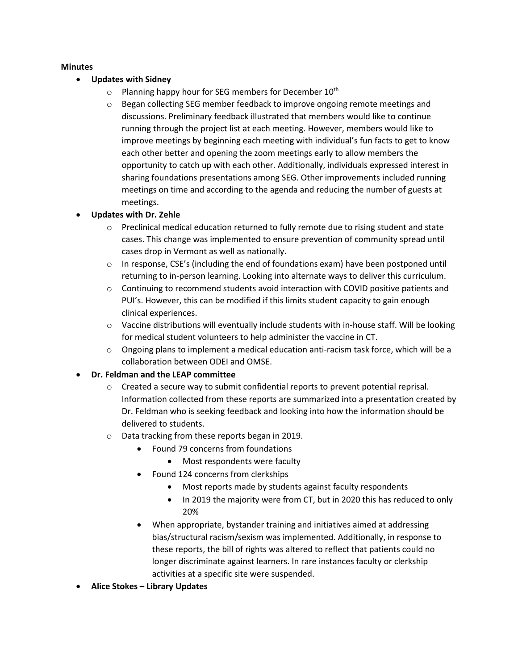# **Minutes**

- **Updates with Sidney**
	- $\circ$  Planning happy hour for SEG members for December 10<sup>th</sup>
	- $\circ$  Began collecting SEG member feedback to improve ongoing remote meetings and discussions. Preliminary feedback illustrated that members would like to continue running through the project list at each meeting. However, members would like to improve meetings by beginning each meeting with individual's fun facts to get to know each other better and opening the zoom meetings early to allow members the opportunity to catch up with each other. Additionally, individuals expressed interest in sharing foundations presentations among SEG. Other improvements included running meetings on time and according to the agenda and reducing the number of guests at meetings.
- **Updates with Dr. Zehle** 
	- $\circ$  Preclinical medical education returned to fully remote due to rising student and state cases. This change was implemented to ensure prevention of community spread until cases drop in Vermont as well as nationally.
	- o In response, CSE's (including the end of foundations exam) have been postponed until returning to in-person learning. Looking into alternate ways to deliver this curriculum.
	- $\circ$  Continuing to recommend students avoid interaction with COVID positive patients and PUI's. However, this can be modified if this limits student capacity to gain enough clinical experiences.
	- $\circ$  Vaccine distributions will eventually include students with in-house staff. Will be looking for medical student volunteers to help administer the vaccine in CT.
	- $\circ$  Ongoing plans to implement a medical education anti-racism task force, which will be a collaboration between ODEI and OMSE.

# • **Dr. Feldman and the LEAP committee**

- $\circ$  Created a secure way to submit confidential reports to prevent potential reprisal. Information collected from these reports are summarized into a presentation created by Dr. Feldman who is seeking feedback and looking into how the information should be delivered to students.
- o Data tracking from these reports began in 2019.
	- Found 79 concerns from foundations
		- Most respondents were faculty
	- Found 124 concerns from clerkships
		- Most reports made by students against faculty respondents
		- In 2019 the majority were from CT, but in 2020 this has reduced to only 20%
	- When appropriate, bystander training and initiatives aimed at addressing bias/structural racism/sexism was implemented. Additionally, in response to these reports, the bill of rights was altered to reflect that patients could no longer discriminate against learners. In rare instances faculty or clerkship activities at a specific site were suspended.
- **Alice Stokes – Library Updates**